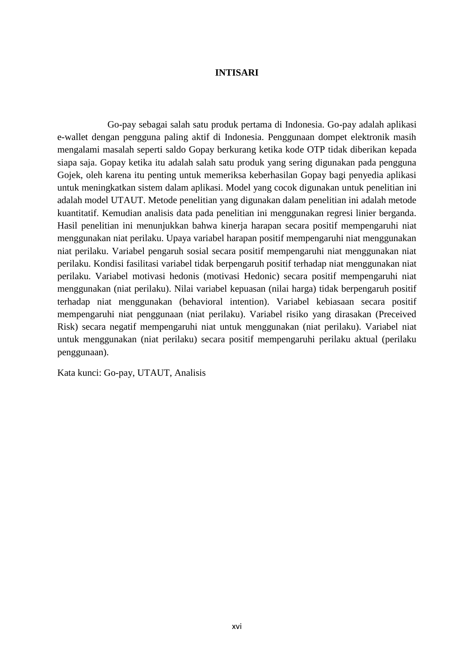## **INTISARI**

Go-pay sebagai salah satu produk pertama di Indonesia. Go-pay adalah aplikasi e-wallet dengan pengguna paling aktif di Indonesia. Penggunaan dompet elektronik masih mengalami masalah seperti saldo Gopay berkurang ketika kode OTP tidak diberikan kepada siapa saja. Gopay ketika itu adalah salah satu produk yang sering digunakan pada pengguna Gojek, oleh karena itu penting untuk memeriksa keberhasilan Gopay bagi penyedia aplikasi untuk meningkatkan sistem dalam aplikasi. Model yang cocok digunakan untuk penelitian ini adalah model UTAUT. Metode penelitian yang digunakan dalam penelitian ini adalah metode kuantitatif. Kemudian analisis data pada penelitian ini menggunakan regresi linier berganda. Hasil penelitian ini menunjukkan bahwa kinerja harapan secara positif mempengaruhi niat menggunakan niat perilaku. Upaya variabel harapan positif mempengaruhi niat menggunakan niat perilaku. Variabel pengaruh sosial secara positif mempengaruhi niat menggunakan niat perilaku. Kondisi fasilitasi variabel tidak berpengaruh positif terhadap niat menggunakan niat perilaku. Variabel motivasi hedonis (motivasi Hedonic) secara positif mempengaruhi niat menggunakan (niat perilaku). Nilai variabel kepuasan (nilai harga) tidak berpengaruh positif terhadap niat menggunakan (behavioral intention). Variabel kebiasaan secara positif mempengaruhi niat penggunaan (niat perilaku). Variabel risiko yang dirasakan (Preceived Risk) secara negatif mempengaruhi niat untuk menggunakan (niat perilaku). Variabel niat untuk menggunakan (niat perilaku) secara positif mempengaruhi perilaku aktual (perilaku penggunaan).

Kata kunci: Go-pay, UTAUT, Analisis